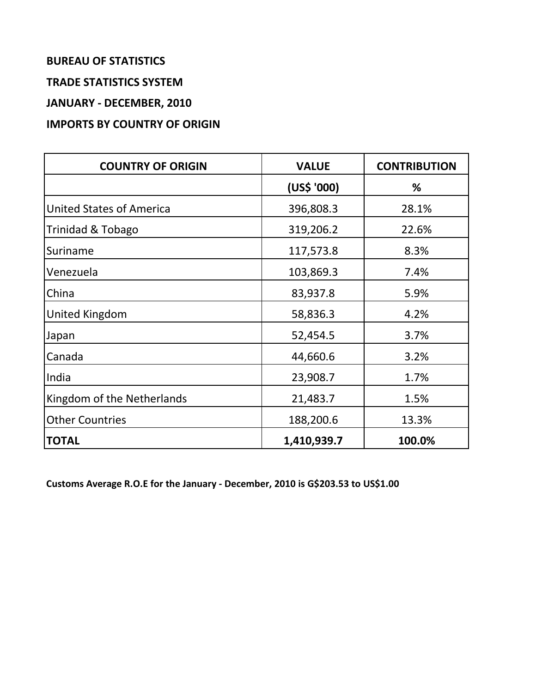## **BUREAU OF STATISTICS**

#### **TRADE STATISTICS SYSTEM**

**JANUARY - DECEMBER, 2010**

## **IMPORTS BY COUNTRY OF ORIGIN**

| <b>COUNTRY OF ORIGIN</b>        | <b>VALUE</b> | <b>CONTRIBUTION</b> |
|---------------------------------|--------------|---------------------|
|                                 | (US\$ '000)  | %                   |
| <b>United States of America</b> | 396,808.3    | 28.1%               |
| Trinidad & Tobago               | 319,206.2    | 22.6%               |
| Suriname                        | 117,573.8    | 8.3%                |
| Venezuela                       | 103,869.3    | 7.4%                |
| China                           | 83,937.8     | 5.9%                |
| United Kingdom                  | 58,836.3     | 4.2%                |
| Japan                           | 52,454.5     | 3.7%                |
| Canada                          | 44,660.6     | 3.2%                |
| India                           | 23,908.7     | 1.7%                |
| Kingdom of the Netherlands      | 21,483.7     | 1.5%                |
| <b>Other Countries</b>          | 188,200.6    | 13.3%               |
| <b>TOTAL</b>                    | 1,410,939.7  | 100.0%              |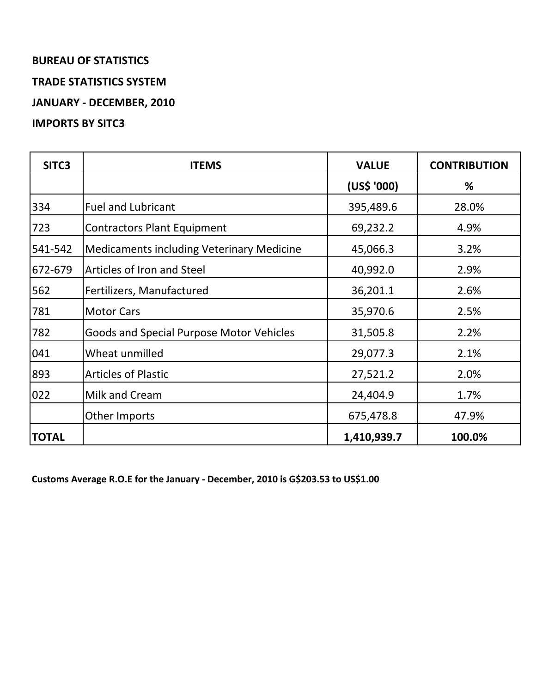## **BUREAU OF STATISTICS TRADE STATISTICS SYSTEM JANUARY - DECEMBER, 2010**

**IMPORTS BY SITC3**

# **SITC3 ITEMS VALUE CONTRIBUTION (US\$ '000) %** 334 Fuel and Lubricant 395,489.6 28.0% 723 Contractors Plant Equipment 1 69,232.2 4.9% 541-542 | Medicaments including Veterinary Medicine | 45,066.3 | 3.2% 672-679 Articles of Iron and Steel 40,992.0 2.9% 562 Fertilizers, Manufactured 36,201.1 2.6% 781 | Motor Cars | 35,970.6 | 2.5% 782 Goods and Special Purpose Motor Vehicles | 31,505.8 | 2.2% 041 Wheat unmilled 29,077.3 2.1% 893 Articles of Plastic 27,521.2 2.0% 022 | Milk and Cream 24,404.9 | 24,404.9 | 25,7% Other Imports 675,478.8 47.9% **TOTAL 1,410,939.7 100.0%**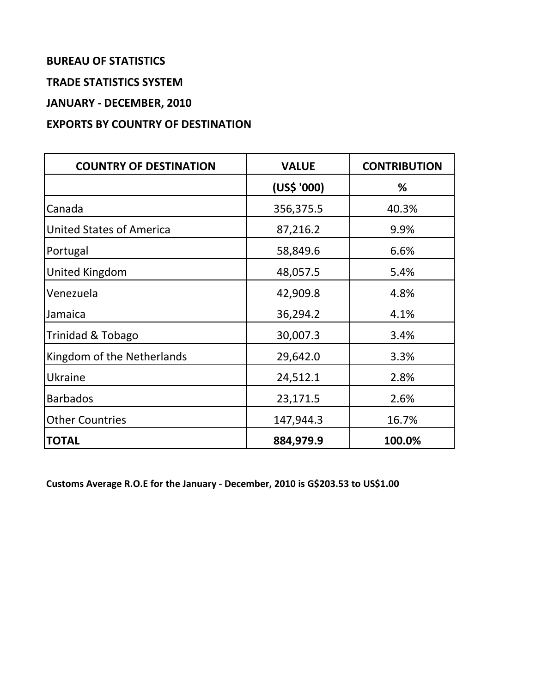## **BUREAU OF STATISTICS**

#### **TRADE STATISTICS SYSTEM**

**JANUARY - DECEMBER, 2010**

## **EXPORTS BY COUNTRY OF DESTINATION**

| <b>COUNTRY OF DESTINATION</b>   | <b>VALUE</b> | <b>CONTRIBUTION</b> |
|---------------------------------|--------------|---------------------|
|                                 | (US\$ '000)  | %                   |
| Canada                          | 356,375.5    | 40.3%               |
| <b>United States of America</b> | 87,216.2     | 9.9%                |
| Portugal                        | 58,849.6     | 6.6%                |
| United Kingdom                  | 48,057.5     | 5.4%                |
| Venezuela                       | 42,909.8     | 4.8%                |
| Jamaica                         | 36,294.2     | 4.1%                |
| Trinidad & Tobago               | 30,007.3     | 3.4%                |
| Kingdom of the Netherlands      | 29,642.0     | 3.3%                |
| Ukraine                         | 24,512.1     | 2.8%                |
| <b>Barbados</b>                 | 23,171.5     | 2.6%                |
| <b>Other Countries</b>          | 147,944.3    | 16.7%               |
| <b>TOTAL</b>                    | 884,979.9    | 100.0%              |